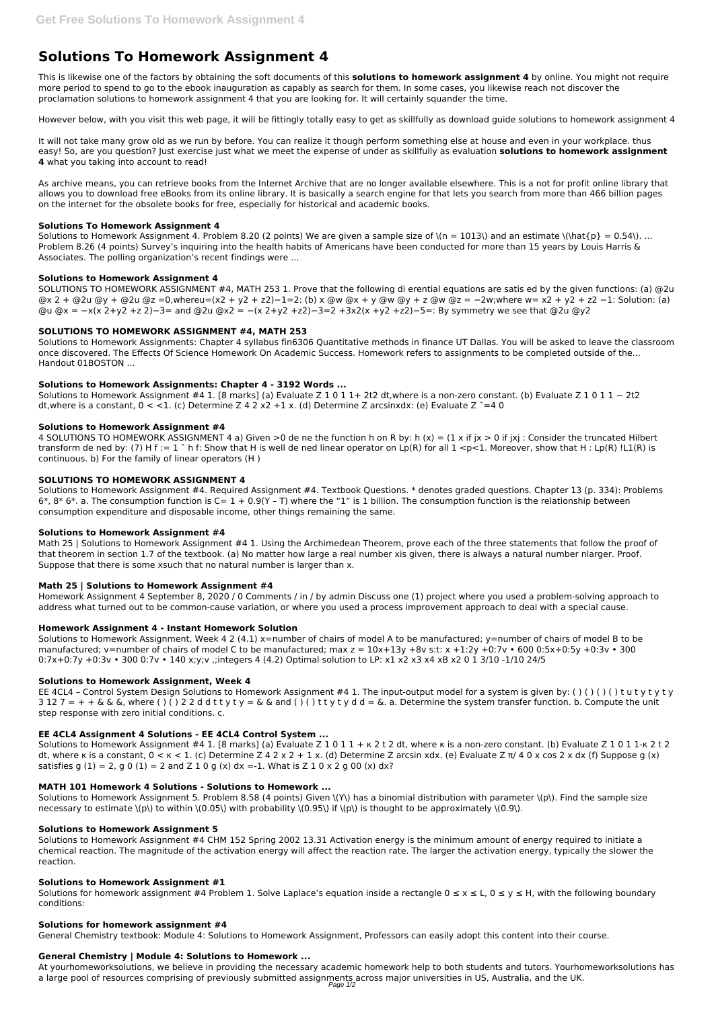# **Solutions To Homework Assignment 4**

This is likewise one of the factors by obtaining the soft documents of this **solutions to homework assignment 4** by online. You might not require more period to spend to go to the ebook inauguration as capably as search for them. In some cases, you likewise reach not discover the proclamation solutions to homework assignment 4 that you are looking for. It will certainly squander the time.

However below, with you visit this web page, it will be fittingly totally easy to get as skillfully as download guide solutions to homework assignment 4

It will not take many grow old as we run by before. You can realize it though perform something else at house and even in your workplace. thus easy! So, are you question? Just exercise just what we meet the expense of under as skillfully as evaluation **solutions to homework assignment 4** what you taking into account to read!

Solutions to Homework Assignment 4. Problem 8.20 (2 points) We are given a sample size of  $(n = 1013)$  and an estimate  $\{\hat{p}\} = 0.54\}$ ... Problem 8.26 (4 points) Survey's inquiring into the health habits of Americans have been conducted for more than 15 years by Louis Harris & Associates. The polling organization's recent findings were ...

As archive means, you can retrieve books from the Internet Archive that are no longer available elsewhere. This is a not for profit online library that allows you to download free eBooks from its online library. It is basically a search engine for that lets you search from more than 466 billion pages on the internet for the obsolete books for free, especially for historical and academic books.

Solutions to Homework Assignment #4 1. [8 marks] (a) Evaluate Z 1 0 1 1+ 2t2 dt,where is a non-zero constant. (b) Evaluate Z 1 0 1 1 − 2t2 dt,where is a constant,  $0 < 1$ . (c) Determine Z 4 2 x2 +1 x. (d) Determine Z arcsinxdx: (e) Evaluate Z  $= 40$ 

## **Solutions To Homework Assignment 4**

4 SOLUTIONS TO HOMEWORK ASSIGNMENT 4 a) Given >0 de ne the function h on R by: h (x) = (1 x if jx > 0 if jxj : Consider the truncated Hilbert transform de ned by: (7) H f := 1  $\check{ }$  h f: Show that H is well de ned linear operator on Lp(R) for all 1 <p<1. Moreover, show that H : Lp(R) !L1(R) is continuous. b) For the family of linear operators (H )

## **Solutions to Homework Assignment 4**

SOLUTIONS TO HOMEWORK ASSIGNMENT #4, MATH 253 1. Prove that the following di erential equations are satis ed by the given functions: (a) @2u @x 2 + @2u @y + @2u @z =0,whereu=(x2 + y2 + z2)−1=2: (b) x @w @x + y @w @y + z @w @z = −2w;where w= x2 + y2 + z2 −1: Solution: (a) @u @x = −x(x 2+y2 +z 2)−3= and @2u @x2 = −(x 2+y2 +z2)−3=2 +3x2(x +y2 +z2)−5=: By symmetry we see that @2u @y2

Math 25 | Solutions to Homework Assignment #4 1. Using the Archimedean Theorem, prove each of the three statements that follow the proof of that theorem in section 1.7 of the textbook. (a) No matter how large a real number xis given, there is always a natural number nlarger. Proof. Suppose that there is some xsuch that no natural number is larger than x.

# **SOLUTIONS TO HOMEWORK ASSIGNMENT #4, MATH 253**

Solutions to Homework Assignment, Week 4 2 (4.1) x=number of chairs of model A to be manufactured; y=number of chairs of model B to be manufactured; v=number of chairs of model C to be manufactured; max  $z = 10x+13y +8v$  s:t:  $x +1:2y +0:7v \cdot 6000:5x+0:5y +0:3v \cdot 300$ 0:7x+0:7y +0:3v • 300 0:7v • 140 x;y;v ;integers 4 (4.2) Optimal solution to LP: x1 x2 x3 x4 xB x2 0 1 3/10 -1/10 24/5

Solutions to Homework Assignments: Chapter 4 syllabus fin6306 Quantitative methods in finance UT Dallas. You will be asked to leave the classroom once discovered. The Effects Of Science Homework On Academic Success. Homework refers to assignments to be completed outside of the... Handout 01BOSTON ...

## **Solutions to Homework Assignments: Chapter 4 - 3192 Words ...**

EE 4CL4 - Control System Design Solutions to Homework Assignment #4 1. The input-output model for a system is given by: ()()()() tutytyty  $3 12 7 = + + \&&&&&&&\\hline( ) ( ) 2 2 d d t t y t y = &&&&&\\hline( ) ( ) t t y t y d d = &&.&&\n$  Determine the system transfer function. b. Compute the unit step response with zero initial conditions. c.

Solutions to Homework Assignment #4 1. [8 marks] (a) Evaluate Z 1 0 1 1 + κ 2 t 2 dt, where κ is a non-zero constant. (b) Evaluate Z 1 0 1 1-κ 2 t 2 dt, where κ is a constant,  $0 < \kappa < 1$ . (c) Determine Z 4 2 x 2 + 1 x. (d) Determine Z arcsin xdx. (e) Evaluate Z π/ 4 0 x cos 2 x dx (f) Suppose g (x)

satisfies g (1) = 2, g 0 (1) = 2 and Z 1 0 g (x) dx =-1. What is Z 1 0 x 2 g 00 (x) dx?

## **Solutions to Homework Assignment #4**

# **SOLUTIONS TO HOMEWORK ASSIGNMENT 4**

Solutions for homework assignment #4 Problem 1. Solve Laplace's equation inside a rectangle  $0 \le x \le L$ ,  $0 \le y \le H$ , with the following boundary conditions:

At yourhomeworksolutions, we believe in providing the necessary academic homework help to both students and tutors. Yourhomeworksolutions has a large pool of resources comprising of previously submitted assignments across major universities in US, Australia, and the UK. Page  $1/2$ 

Solutions to Homework Assignment #4. Required Assignment #4. Textbook Questions. \* denotes graded questions. Chapter 13 (p. 334): Problems 6\*, 8\* 6\*. a. The consumption function is  $C = 1 + 0.9(Y - T)$  where the "1" is 1 billion. The consumption function is the relationship between consumption expenditure and disposable income, other things remaining the same.

## **Solutions to Homework Assignment #4**

## **Math 25 | Solutions to Homework Assignment #4**

Homework Assignment 4 September 8, 2020 / 0 Comments / in / by admin Discuss one (1) project where you used a problem-solving approach to address what turned out to be common-cause variation, or where you used a process improvement approach to deal with a special cause.

## **Homework Assignment 4 - Instant Homework Solution**

# **Solutions to Homework Assignment, Week 4**

# **EE 4CL4 Assignment 4 Solutions - EE 4CL4 Control System ...**

#### **MATH 101 Homework 4 Solutions - Solutions to Homework ...**

Solutions to Homework Assignment 5. Problem 8.58 (4 points) Given \(Y\) has a binomial distribution with parameter \(p\). Find the sample size necessary to estimate  $\langle p \rangle$  to within  $\langle 0.05 \rangle$  with probability  $\langle 0.95 \rangle$  if  $\langle p \rangle$  is thought to be approximately  $\langle 0.9 \rangle$ .

## **Solutions to Homework Assignment 5**

Solutions to Homework Assignment #4 CHM 152 Spring 2002 13.31 Activation energy is the minimum amount of energy required to initiate a chemical reaction. The magnitude of the activation energy will affect the reaction rate. The larger the activation energy, typically the slower the reaction.

#### **Solutions to Homework Assignment #1**

#### **Solutions for homework assignment #4**

General Chemistry textbook: Module 4: Solutions to Homework Assignment, Professors can easily adopt this content into their course.

## **General Chemistry | Module 4: Solutions to Homework ...**